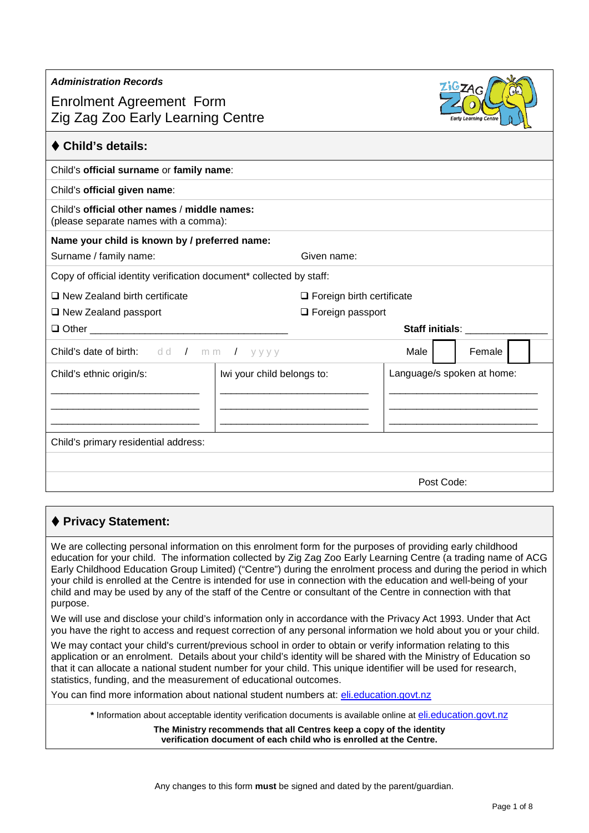| <b>Enrolment Agreement Form</b><br>Zig Zag Zoo Early Learning Centre                  |                            |                                  |                            | <b>Early Learning Centre</b> |  |  |
|---------------------------------------------------------------------------------------|----------------------------|----------------------------------|----------------------------|------------------------------|--|--|
| ♦ Child's details:                                                                    |                            |                                  |                            |                              |  |  |
| Child's official surname or family name:                                              |                            |                                  |                            |                              |  |  |
| Child's official given name:                                                          |                            |                                  |                            |                              |  |  |
| Child's official other names / middle names:<br>(please separate names with a comma): |                            |                                  |                            |                              |  |  |
| Name your child is known by / preferred name:                                         |                            |                                  |                            |                              |  |  |
| Surname / family name:                                                                |                            | Given name:                      |                            |                              |  |  |
| Copy of official identity verification document* collected by staff:                  |                            |                                  |                            |                              |  |  |
| $\Box$ New Zealand birth certificate                                                  |                            | $\Box$ Foreign birth certificate |                            |                              |  |  |
| $\Box$ New Zealand passport<br>$\Box$ Foreign passport                                |                            |                                  |                            |                              |  |  |
|                                                                                       |                            |                                  | Staff initials: _________  |                              |  |  |
| <b>Child's date of birth:</b> $dd / mm / y y y y$                                     |                            |                                  | Male                       | Female                       |  |  |
| Child's ethnic origin/s:                                                              | Iwi your child belongs to: |                                  | Language/s spoken at home: |                              |  |  |
|                                                                                       |                            |                                  |                            |                              |  |  |
|                                                                                       |                            |                                  |                            |                              |  |  |
|                                                                                       |                            |                                  |                            |                              |  |  |
| Child's primary residential address:                                                  |                            |                                  |                            |                              |  |  |
|                                                                                       |                            |                                  |                            |                              |  |  |
|                                                                                       |                            |                                  | Post Code:                 |                              |  |  |

# **Privacy Statement:**

*Administration Records*

We are collecting personal information on this enrolment form for the purposes of providing early childhood education for your child. The information collected by Zig Zag Zoo Early Learning Centre (a trading name of ACG Early Childhood Education Group Limited) ("Centre") during the enrolment process and during the period in which your child is enrolled at the Centre is intended for use in connection with the education and well-being of your child and may be used by any of the staff of the Centre or consultant of the Centre in connection with that purpose.

We will use and disclose your child's information only in accordance with the Privacy Act 1993. Under that Act you have the right to access and request correction of any personal information we hold about you or your child.

We may contact your child's current/previous school in order to obtain or verify information relating to this application or an enrolment. Details about your child's identity will be shared with the Ministry of Education so that it can allocate a national student number for your child. This unique identifier will be used for research, statistics, funding, and the measurement of educational outcomes.

You can find more information about national student numbers at: [eli.education.govt.nz](http://www.eli.education.govt.nz/)

**\*** Information about acceptable identity verification documents is available online a[t eli.education.govt.nz](http://www.eli.education.govt.nz/)

**The Ministry recommends that all Centres keep a copy of the identity verification document of each child who is enrolled at the Centre.**

 $ZiGZAG$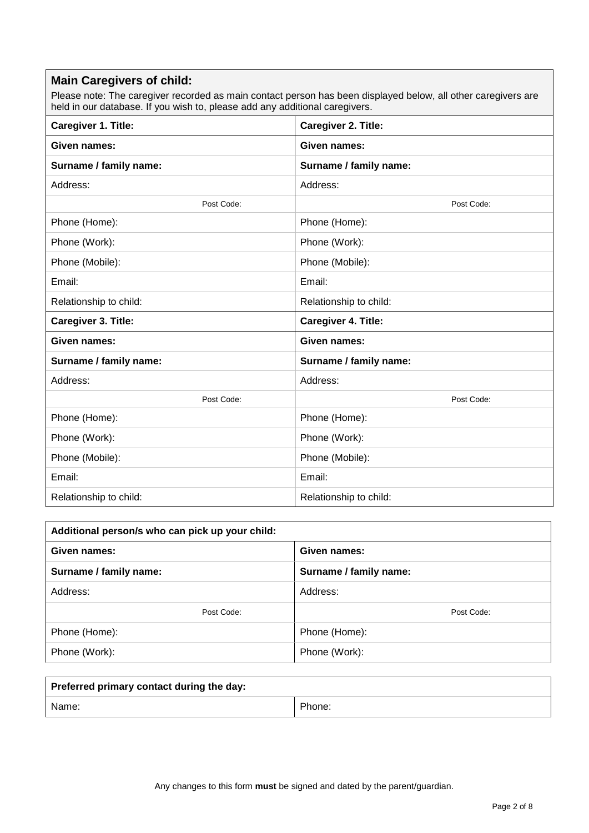#### **Main Caregivers of child:**

Please note: The caregiver recorded as main contact person has been displayed below, all other caregivers are held in our database. If you wish to, please add any additional caregivers.

| Caregiver 1. Title:    | Caregiver 2. Title:    |
|------------------------|------------------------|
| Given names:           | Given names:           |
| Surname / family name: | Surname / family name: |
| Address:               | Address:               |
| Post Code:             | Post Code:             |
| Phone (Home):          | Phone (Home):          |
| Phone (Work):          | Phone (Work):          |
| Phone (Mobile):        | Phone (Mobile):        |
| Email:                 | Email:                 |
| Relationship to child: | Relationship to child: |
| Caregiver 3. Title:    | Caregiver 4. Title:    |
| Given names:           | Given names:           |
| Surname / family name: | Surname / family name: |
| Address:               | Address:               |
| Post Code:             | Post Code:             |
| Phone (Home):          | Phone (Home):          |
| Phone (Work):          | Phone (Work):          |
| Phone (Mobile):        | Phone (Mobile):        |
| Email:                 | Email:                 |
| Relationship to child: | Relationship to child: |

| Additional person/s who can pick up your child: |                        |  |  |  |
|-------------------------------------------------|------------------------|--|--|--|
| Given names:<br>Given names:                    |                        |  |  |  |
| Surname / family name:                          | Surname / family name: |  |  |  |
| Address:                                        | Address:               |  |  |  |
| Post Code:                                      | Post Code:             |  |  |  |
| Phone (Home):                                   | Phone (Home):          |  |  |  |
| Phone (Work):                                   | Phone (Work):          |  |  |  |

| Preferred primary contact during the day: |        |
|-------------------------------------------|--------|
| Name:                                     | Phone: |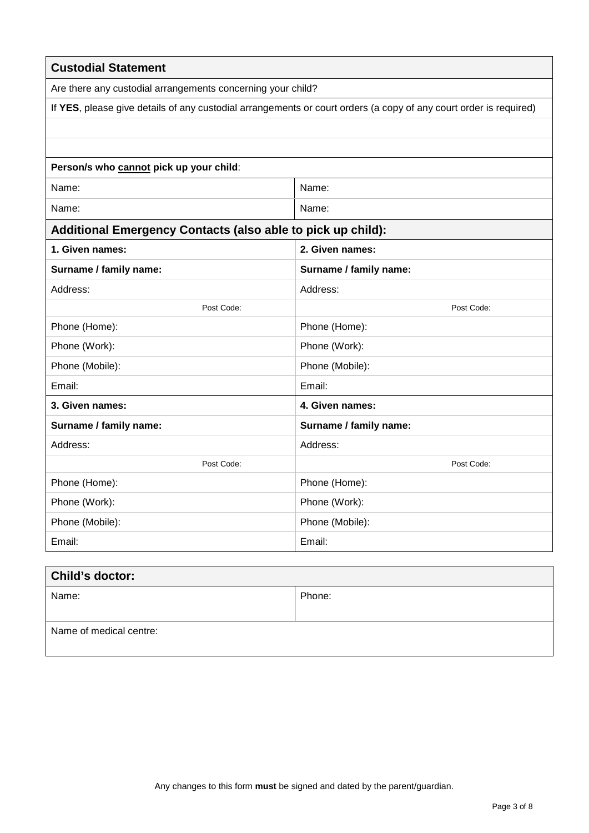| <b>Custodial Statement</b>                                  |                                                                                                                   |  |  |
|-------------------------------------------------------------|-------------------------------------------------------------------------------------------------------------------|--|--|
| Are there any custodial arrangements concerning your child? |                                                                                                                   |  |  |
|                                                             | If YES, please give details of any custodial arrangements or court orders (a copy of any court order is required) |  |  |
|                                                             |                                                                                                                   |  |  |
|                                                             |                                                                                                                   |  |  |
| Person/s who cannot pick up your child:                     |                                                                                                                   |  |  |
| Name:                                                       | Name:                                                                                                             |  |  |
| Name:                                                       | Name:                                                                                                             |  |  |
| Additional Emergency Contacts (also able to pick up child): |                                                                                                                   |  |  |
| 1. Given names:                                             | 2. Given names:                                                                                                   |  |  |
| Surname / family name:                                      | Surname / family name:                                                                                            |  |  |
| Address:                                                    | Address:                                                                                                          |  |  |
| Post Code:                                                  | Post Code:                                                                                                        |  |  |
| Phone (Home):                                               | Phone (Home):                                                                                                     |  |  |
| Phone (Work):                                               | Phone (Work):                                                                                                     |  |  |
| Phone (Mobile):                                             | Phone (Mobile):                                                                                                   |  |  |
| Email:                                                      | Email:                                                                                                            |  |  |
| 3. Given names:                                             | 4. Given names:                                                                                                   |  |  |
| Surname / family name:                                      | Surname / family name:                                                                                            |  |  |
| Address:                                                    | Address:                                                                                                          |  |  |
| Post Code:                                                  | Post Code:                                                                                                        |  |  |
| Phone (Home):                                               | Phone (Home):                                                                                                     |  |  |
| Phone (Work):                                               | Phone (Work):                                                                                                     |  |  |
| Phone (Mobile):                                             | Phone (Mobile):                                                                                                   |  |  |
| Email:                                                      | Email:                                                                                                            |  |  |

| <b>Child's doctor:</b>  |        |
|-------------------------|--------|
| Name:                   | Phone: |
|                         |        |
| Name of medical centre: |        |
|                         |        |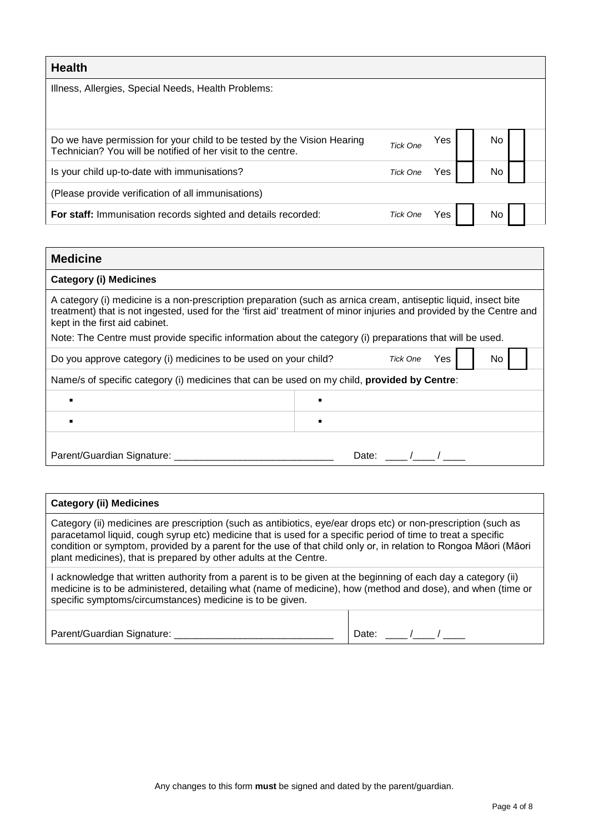| <b>Health</b>                                                                                                                           |                 |     |    |  |
|-----------------------------------------------------------------------------------------------------------------------------------------|-----------------|-----|----|--|
| Illness, Allergies, Special Needs, Health Problems:                                                                                     |                 |     |    |  |
|                                                                                                                                         |                 |     |    |  |
| Do we have permission for your child to be tested by the Vision Hearing<br>Technician? You will be notified of her visit to the centre. | <b>Tick One</b> | Yes | No |  |
| Is your child up-to-date with immunisations?                                                                                            | Tick One        | Yes | No |  |
| (Please provide verification of all immunisations)                                                                                      |                 |     |    |  |
| For staff: Immunisation records sighted and details recorded:                                                                           | Tick One        | Yes | No |  |

| <b>Medicine</b>                                                                                                                                   |                                                                                                                      |
|---------------------------------------------------------------------------------------------------------------------------------------------------|----------------------------------------------------------------------------------------------------------------------|
| <b>Category (i) Medicines</b>                                                                                                                     |                                                                                                                      |
| A category (i) medicine is a non-prescription preparation (such as arnica cream, antiseptic liquid, insect bite<br>kept in the first aid cabinet. | treatment) that is not ingested, used for the 'first aid' treatment of minor injuries and provided by the Centre and |
| Note: The Centre must provide specific information about the category (i) preparations that will be used.                                         |                                                                                                                      |
| Do you approve category (i) medicines to be used on your child?                                                                                   | Tick One<br>No<br>Yes                                                                                                |
| Name/s of specific category (i) medicines that can be used on my child, provided by Centre:                                                       |                                                                                                                      |
|                                                                                                                                                   |                                                                                                                      |
|                                                                                                                                                   |                                                                                                                      |
| Parent/Guardian Signature: ____                                                                                                                   | Date:                                                                                                                |

| <b>Category (ii) Medicines</b>                                                                                                                                                                                                                                                                                                                                                                                          |       |  |
|-------------------------------------------------------------------------------------------------------------------------------------------------------------------------------------------------------------------------------------------------------------------------------------------------------------------------------------------------------------------------------------------------------------------------|-------|--|
| Category (ii) medicines are prescription (such as antibiotics, eye/ear drops etc) or non-prescription (such as<br>paracetamol liquid, cough syrup etc) medicine that is used for a specific period of time to treat a specific<br>condition or symptom, provided by a parent for the use of that child only or, in relation to Rongoa Māori (Māori<br>plant medicines), that is prepared by other adults at the Centre. |       |  |
| acknowledge that written authority from a parent is to be given at the beginning of each day a category (ii)<br>medicine is to be administered, detailing what (name of medicine), how (method and dose), and when (time or<br>specific symptoms/circumstances) medicine is to be given.                                                                                                                                |       |  |
| Parent/Guardian Signature: _________                                                                                                                                                                                                                                                                                                                                                                                    | Date: |  |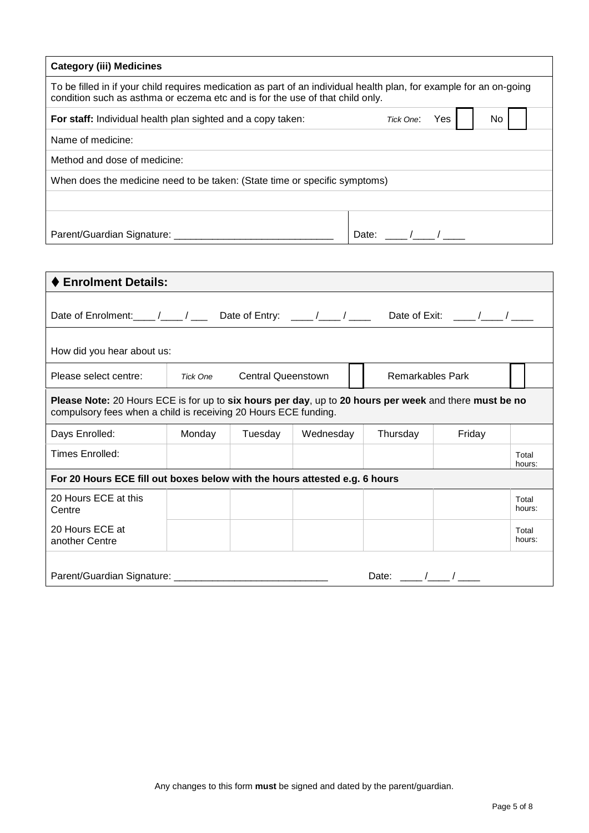| <b>Category (iii) Medicines</b>                                                                                                                                                                      |                  |    |
|------------------------------------------------------------------------------------------------------------------------------------------------------------------------------------------------------|------------------|----|
| To be filled in if your child requires medication as part of an individual health plan, for example for an on-going<br>condition such as asthma or eczema etc and is for the use of that child only. |                  |    |
| For staff: Individual health plan sighted and a copy taken:                                                                                                                                          | Yes<br>Tick One: | No |
| Name of medicine:                                                                                                                                                                                    |                  |    |
| Method and dose of medicine:                                                                                                                                                                         |                  |    |
| When does the medicine need to be taken: (State time or specific symptoms)                                                                                                                           |                  |    |
|                                                                                                                                                                                                      |                  |    |
|                                                                                                                                                                                                      |                  |    |
| Parent/Guardian Signature: ___________                                                                                                                                                               | Date:            |    |

| <b>Enrolment Details:</b>                                                                                                                                                 |          |                           |           |                         |        |                 |
|---------------------------------------------------------------------------------------------------------------------------------------------------------------------------|----------|---------------------------|-----------|-------------------------|--------|-----------------|
|                                                                                                                                                                           |          |                           |           |                         |        |                 |
| How did you hear about us:                                                                                                                                                |          |                           |           |                         |        |                 |
| Please select centre:                                                                                                                                                     | Tick One | <b>Central Queenstown</b> |           | <b>Remarkables Park</b> |        |                 |
| Please Note: 20 Hours ECE is for up to six hours per day, up to 20 hours per week and there must be no<br>compulsory fees when a child is receiving 20 Hours ECE funding. |          |                           |           |                         |        |                 |
| Days Enrolled:                                                                                                                                                            | Monday   | Tuesday                   | Wednesday | Thursday                | Friday |                 |
| Times Enrolled:                                                                                                                                                           |          |                           |           |                         |        | Total<br>hours: |
| For 20 Hours ECE fill out boxes below with the hours attested e.g. 6 hours                                                                                                |          |                           |           |                         |        |                 |
| 20 Hours ECE at this<br>Centre                                                                                                                                            |          |                           |           |                         |        | Total<br>hours: |
| 20 Hours ECE at<br>another Centre                                                                                                                                         |          |                           |           |                         |        | Total<br>hours: |
| Parent/Guardian Signature: 2008 2010 2020                                                                                                                                 |          |                           |           | Date: $/$ /             |        |                 |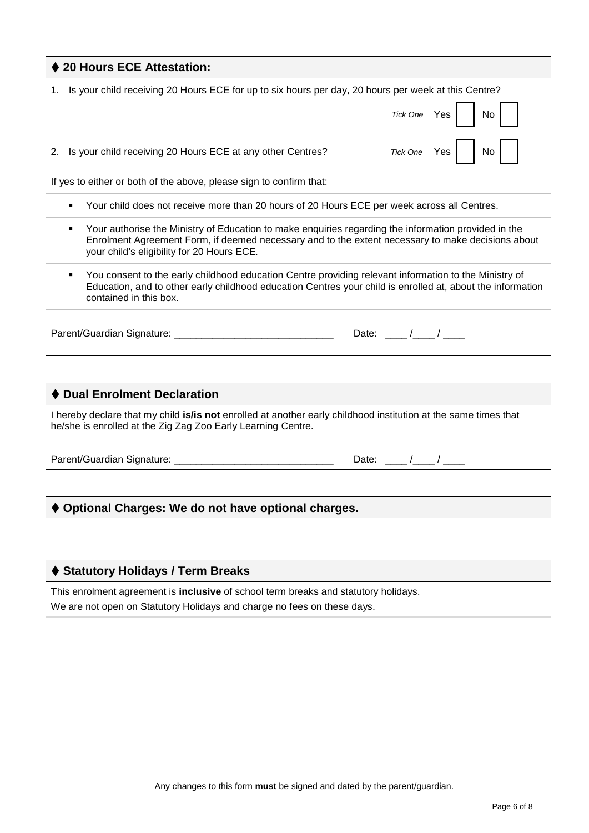| ♦ 20 Hours ECE Attestation:                                                                                                                                                                                                                             |
|---------------------------------------------------------------------------------------------------------------------------------------------------------------------------------------------------------------------------------------------------------|
| 1. Is your child receiving 20 Hours ECE for up to six hours per day, 20 hours per week at this Centre?                                                                                                                                                  |
| Tick One Yes<br>No.                                                                                                                                                                                                                                     |
|                                                                                                                                                                                                                                                         |
| Tick One Yes<br><b>No</b><br>2. Is your child receiving 20 Hours ECE at any other Centres?                                                                                                                                                              |
| If yes to either or both of the above, please sign to confirm that:                                                                                                                                                                                     |
| Your child does not receive more than 20 hours of 20 Hours ECE per week across all Centres.                                                                                                                                                             |
| Your authorise the Ministry of Education to make enquiries regarding the information provided in the<br>Enrolment Agreement Form, if deemed necessary and to the extent necessary to make decisions about<br>your child's eligibility for 20 Hours ECE. |
| You consent to the early childhood education Centre providing relevant information to the Ministry of<br>٠<br>Education, and to other early childhood education Centres your child is enrolled at, about the information<br>contained in this box.      |
| Date: $\qquad \qquad / \qquad /$                                                                                                                                                                                                                        |

#### **Dual Enrolment Declaration**

I hereby declare that my child **is/is not** enrolled at another early childhood institution at the same times that he/she is enrolled at the Zig Zag Zoo Early Learning Centre.

Parent/Guardian Signature: \_\_\_\_\_\_\_\_\_\_\_\_\_\_\_\_\_\_\_\_\_\_\_\_\_\_\_\_\_ Date: \_\_\_\_ /\_\_\_\_ / \_\_\_\_

# **Optional Charges: We do not have optional charges.**

### **Statutory Holidays / Term Breaks**

This enrolment agreement is **inclusive** of school term breaks and statutory holidays.

We are not open on Statutory Holidays and charge no fees on these days.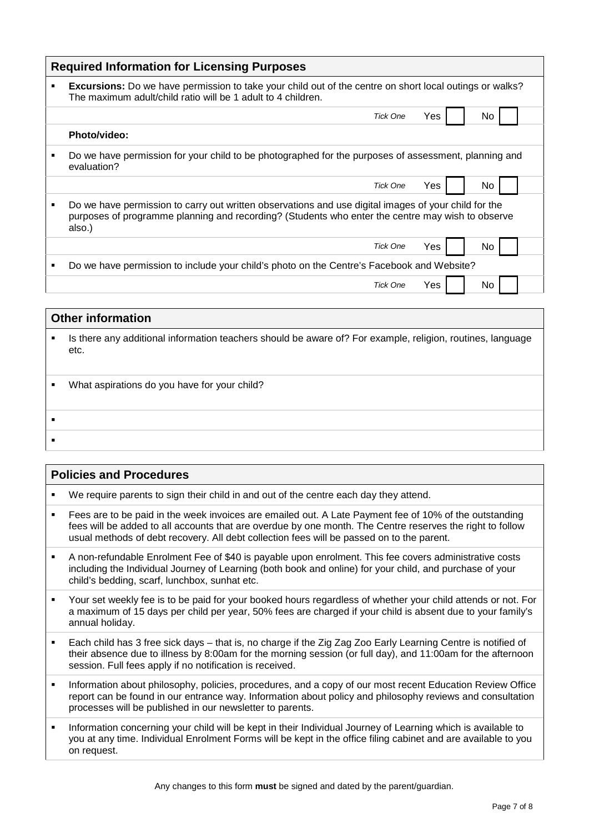| <b>Required Information for Licensing Purposes</b> |                                                                                                                                                                                                                    |  |  |  |
|----------------------------------------------------|--------------------------------------------------------------------------------------------------------------------------------------------------------------------------------------------------------------------|--|--|--|
| ٠                                                  | <b>Excursions:</b> Do we have permission to take your child out of the centre on short local outings or walks?<br>The maximum adult/child ratio will be 1 adult to 4 children.                                     |  |  |  |
|                                                    | Yes<br>No.<br>Tick One                                                                                                                                                                                             |  |  |  |
|                                                    | Photo/video:                                                                                                                                                                                                       |  |  |  |
| ٠                                                  | Do we have permission for your child to be photographed for the purposes of assessment, planning and<br>evaluation?                                                                                                |  |  |  |
|                                                    | <b>Tick One</b><br>Yes<br>No.                                                                                                                                                                                      |  |  |  |
| ٠                                                  | Do we have permission to carry out written observations and use digital images of your child for the<br>purposes of programme planning and recording? (Students who enter the centre may wish to observe<br>also.) |  |  |  |
|                                                    | Yes<br><b>Tick One</b><br>No.                                                                                                                                                                                      |  |  |  |
| ٠                                                  | Do we have permission to include your child's photo on the Centre's Facebook and Website?                                                                                                                          |  |  |  |
|                                                    | Yes<br>Tick One<br>No.                                                                                                                                                                                             |  |  |  |
|                                                    |                                                                                                                                                                                                                    |  |  |  |

# **Other information In there any additional information teachers should be aware of? For example, religion, routines, language** etc. What aspirations do you have for your child?  $\blacksquare$ j,

Г

| <b>Policies and Procedures</b> |                                                                                                                                                                                                                                                                                                                  |  |
|--------------------------------|------------------------------------------------------------------------------------------------------------------------------------------------------------------------------------------------------------------------------------------------------------------------------------------------------------------|--|
| ٠                              | We require parents to sign their child in and out of the centre each day they attend.                                                                                                                                                                                                                            |  |
| $\blacksquare$                 | Fees are to be paid in the week invoices are emailed out. A Late Payment fee of 10% of the outstanding<br>fees will be added to all accounts that are overdue by one month. The Centre reserves the right to follow<br>usual methods of debt recovery. All debt collection fees will be passed on to the parent. |  |
| $\blacksquare$                 | A non-refundable Enrolment Fee of \$40 is payable upon enrolment. This fee covers administrative costs<br>including the Individual Journey of Learning (both book and online) for your child, and purchase of your<br>child's bedding, scarf, lunchbox, sunhat etc.                                              |  |
| ٠                              | Your set weekly fee is to be paid for your booked hours regardless of whether your child attends or not. For<br>a maximum of 15 days per child per year, 50% fees are charged if your child is absent due to your family's<br>annual holiday.                                                                    |  |
| ٠                              | Each child has 3 free sick days – that is, no charge if the Zig Zag Zoo Early Learning Centre is notified of<br>their absence due to illness by 8:00am for the morning session (or full day), and 11:00am for the afternoon<br>session. Full fees apply if no notification is received.                          |  |
| ٠                              | Information about philosophy, policies, procedures, and a copy of our most recent Education Review Office<br>report can be found in our entrance way. Information about policy and philosophy reviews and consultation<br>processes will be published in our newsletter to parents.                              |  |
| $\blacksquare$                 | Information concerning your child will be kept in their Individual Journey of Learning which is available to<br>you at any time. Individual Enrolment Forms will be kept in the office filing cabinet and are available to you<br>on request.                                                                    |  |